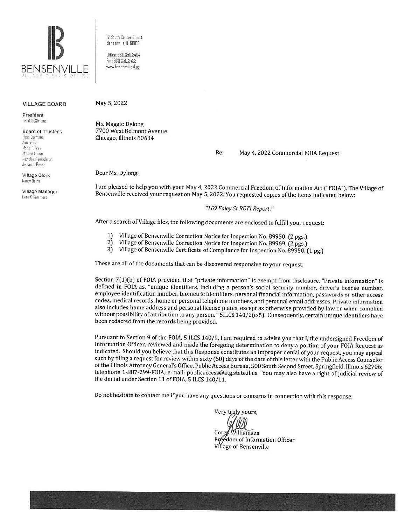

12 South Center Street Bensenville, IL 60106

Office: 630.350.3404 Fax: 630.350.3438 www.bensenville.il.us

#### **VILLAGE BOARD**

President Frank DeSimone

**Board of Trustees** Rosa Carmona Ann Franz Marie T. Frey McLane Lomax Nicholas Panicola Jr

**Village Clerk** Nancy Quinn

Armando Perez

Village Manager **Evan K. Summers** 

May 5, 2022

Ms. Maggie Dylong 7700 West Belmont Avenue Chicago, Illinois 60634

> Re: May 4, 2022 Commercial FOIA Request

Dear Ms. Dylong:

I am pleased to help you with your May 4, 2022 Commercial Freedom of Information Act ("FOIA"). The Village of Bensenville received your request on May 5, 2022. You requested copies of the items indicated below:

"169 Foley St RETI Report."

After a search of Village files, the following documents are enclosed to fulfill your request:

- $11$ Village of Bensenville Correction Notice for Inspection No. 89950. (2 pgs.)
- $2)$ Village of Bensenville Correction Notice for Inspection No. 89969. (2 pgs.)
- $3)$ Village of Bensenville Certificate of Compliance for Inspection No. 89950. (1 pg.)

These are all of the documents that can be discovered responsive to your request.

Section 7(1)(b) of FOIA provided that "private information" is exempt from disclosure. "Private information" is defined in FOIA as, "unique identifiers, including a person's social security number, driver's license number, employee identification number, biometric identifiers, personal financial information, passwords or other access codes, medical records, home or personal telephone numbers, and personal email addresses. Private information also includes home address and personal license plates, except as otherwise provided by law or when complied without possibility of attribution to any person. " SILCS 140/2(c-5). Consequently, certain unique identifiers have been redacted from the records being provided.

Pursuant to Section 9 of the FOIA, 5 ILCS 140/9, I am required to advise you that I, the undersigned Freedom of Information Officer, reviewed and made the foregoing determination to deny a portion of your FOIA Request as indicated. Should you believe that this Response constitutes an improper denial of your request, you may appeal such by filing a request for review within sixty (60) days of the date of this letter with the Public Access Counselor of the Illinois Attorney General's Office, Public Access Bureau, 500 South Second Street, Springfield, Illinois 62706; telephone 1-887-299-FOIA; e-mail: publicaccess@atg.state.il.us. You may also have a right of judicial review of the denial under Section 11 of FOIA, 5 ILCS 140/11.

Do not hesitate to contact me if you have any questions or concerns in connection with this response.

Very tryly yours,

Williamsen Fréédom of Information Officer Village of Bensenville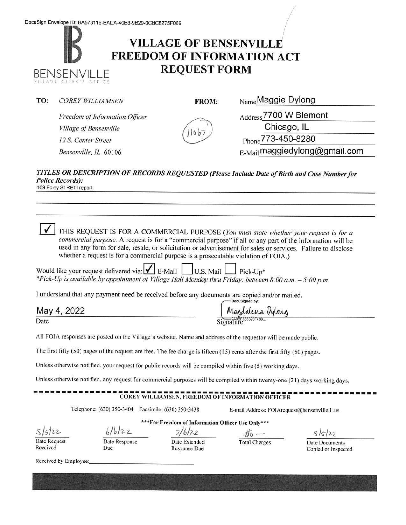# **VILLAGE OF BENSENVILLE FREEDOM OF INFORMATION ACT REQUEST FORM BENSENVILLE**

| TO:<br><i>COREY WILLIAMSEN</i> |  |
|--------------------------------|--|
|--------------------------------|--|

**FROM:** Name Maggie Dylong

*Freedom of Information Officer Village of Bensenville I 2* S. *Center Street Bensenville, IL* 60106

Address 7700 W Blemont

Chicago, IL Phone 773-450-8280

E-Mail maggiedylong@gmail.com

#### *TI TLES OR DESCRIPTION OF RECORDS REQUESTED (Please Include Date of Birth and Case Number for Police Records):*  169 Foley St RETI report

0 THIS REQUEST IS FOR A COMMERCIAL PURPOSE *(You must state whether your request is for a commercial purpose.* A request is for a "commercial purpose" if all or any part of the information will be used in any form for sale, resale, or solicitation or advertisement for sales or services. Failure to disclose whether a request is for a commercial purpose is a prosecutable violation of FOIA.)

| Would like your request delivered via: $\bigvee$ E-Mail U.S. Mail $\Box$ Pick-Up* |                                                                                                          |
|-----------------------------------------------------------------------------------|----------------------------------------------------------------------------------------------------------|
|                                                                                   | *Pick-Up is available by appointment at Village Hall Monday thru Friday; between 8:00 a.m. $-$ 5:00 p.m. |

I understand that any payment need be received before any documents are copied and/or mailed. -DocuSigned by:

| Mav<br>$\sqrt{ }$ |  |
|-------------------|--|
|                   |  |

|             | -DocuSigned by:  |
|-------------|------------------|
| May 4, 2022 | Magdalena Dylong |
| Date        | Signature        |

All FOIA responses are posted on the Village's website. Name and address of the requestor will be made public.

The first fifty (50) pages of the request are free. The fee charge is fifteen (15) cents after the first fifty (50) pages.

Unless otherwise notified, your request for public records will be compiled within five (5) working days.

Unless otherwise notified, any request for commercial purposes will be compiled within twenty-one (21) days working days.

#### $-COREY$  WILLIAMSEN, FREEDOM OF INFORMATION OFFICER

Telephone: (630) 350-3404 Facsimile: (630) 350-3438 E-mail Address: F01Arequest@bensenville.il.us

*s/5}11-*

**\*\*\*For Freedom of Information Officer Use Only\*\*\***  *l/io)?--* z... *7)6/i.2-* iJo -

Date Request Received

Date Response Due

Date Extended Response Due

Total Charges Date Documents

 $5/5/22$ 

Copied or Inspected

Received by Employee: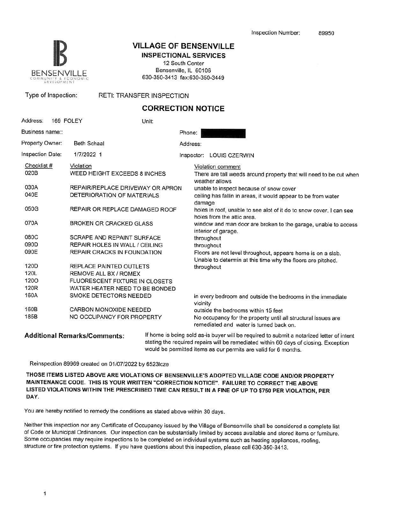

# **18 VILLAGE OF BENSENVILLE**

**INSPECTIONAL SERVICES**  12 South Center Bensenville, IL 60106 630-350-3413 fax:630-350-3449

Type of Inspection: RETI: TRANSFER INSPECTION

### **CORRECTION NOTICE**

| Address:                                                                                    | 169 FOLEY          |                                                                                                                                                                                                                                                        | Unit:                                                              |          |                                                                                                                                                                                                                                                                                                                                                                                                                                                                                                                                                                                                       |                                                                                                                                                                                                                                                      |
|---------------------------------------------------------------------------------------------|--------------------|--------------------------------------------------------------------------------------------------------------------------------------------------------------------------------------------------------------------------------------------------------|--------------------------------------------------------------------|----------|-------------------------------------------------------------------------------------------------------------------------------------------------------------------------------------------------------------------------------------------------------------------------------------------------------------------------------------------------------------------------------------------------------------------------------------------------------------------------------------------------------------------------------------------------------------------------------------------------------|------------------------------------------------------------------------------------------------------------------------------------------------------------------------------------------------------------------------------------------------------|
| Business name::                                                                             |                    |                                                                                                                                                                                                                                                        |                                                                    | Phone:   |                                                                                                                                                                                                                                                                                                                                                                                                                                                                                                                                                                                                       |                                                                                                                                                                                                                                                      |
| Property Owner:                                                                             | <b>Beth Schaal</b> |                                                                                                                                                                                                                                                        |                                                                    | Address: |                                                                                                                                                                                                                                                                                                                                                                                                                                                                                                                                                                                                       |                                                                                                                                                                                                                                                      |
| Inspection Date:                                                                            | 1/7/2022 1         |                                                                                                                                                                                                                                                        |                                                                    |          |                                                                                                                                                                                                                                                                                                                                                                                                                                                                                                                                                                                                       | Inspector: LOUIS CZERWIN                                                                                                                                                                                                                             |
| Checklist #<br>020B<br>030A<br>040E<br>050G<br>070A<br>080C<br>090D<br>090E<br>120D<br>120L | Violation          | WEED HEIGHT EXCEEDS 8 INCHES<br>DETERIORATION OF MATERIALS<br><b>BROKEN OR CRACKED GLASS</b><br>SCRAPE AND REPAINT SURFACE<br><b>REPAIR HOLES IN WALL / CEILING</b><br>REPAIR CRACKS IN FOUNDATION<br>REPLACE PAINTED OUTLETS<br>REMOVE ALL BX / ROMEX | REPAIR/REPLACE DRIVEWAY OR APRON<br>REPAIR OR REPLACE DAMAGED ROOF |          | Violation comment<br>There are tall weeds around property that will need to be cut when<br>weather allows<br>unable to inspect because of snow cover<br>ceiling has fallin in areas, it would appear to be from water<br>damage<br>holes in roof, unable to see alot of it do to snow cover. I can see<br>holes from the attic area.<br>window and man door are broken to the garage, unable to access<br>interior of garage.<br>throughout<br>throughout<br>Floors are not level throughout, appears home is on a slab.<br>Unable to determin at this time why the floors are pitched.<br>throughout |                                                                                                                                                                                                                                                      |
| 1200<br>120 <sub>R</sub><br>160A<br>160B                                                    |                    | FLUORESCENT FIXTURE IN CLOSETS<br>WATER HEATER NEED TO BE BONDED<br>SMOKE DETECTORS NEEDED<br>CARBON MONOXIDE NEEDED                                                                                                                                   |                                                                    | vicinity |                                                                                                                                                                                                                                                                                                                                                                                                                                                                                                                                                                                                       | in every bedroom and outside the bedrooms in the immediate<br>outside the bedrooms within 15 feet                                                                                                                                                    |
| 185B                                                                                        |                    | NO OCCUPANCY FOR PROPERTY                                                                                                                                                                                                                              |                                                                    |          |                                                                                                                                                                                                                                                                                                                                                                                                                                                                                                                                                                                                       | No occupancy for the property until all structural issues are<br>remediated and water is turned back on.                                                                                                                                             |
|                                                                                             |                    | <b>Additional Remarks/Comments:</b>                                                                                                                                                                                                                    |                                                                    |          |                                                                                                                                                                                                                                                                                                                                                                                                                                                                                                                                                                                                       | If home is being sold as-is buyer will be required to submit a notarized letter of intent<br>stating the required repairs will be remediated within 60 days of closing. Exception<br>would be permitted items as our permits are valid for 6 months. |

Reinspection 89969 created on 01/07/2022 by 6523Icze

**THOSE ITEMS LISTED ABOVE ARE VIOLATIONS OF BENSENVILLE'S ADOPTED VILLAGE CODE AND/OR PROPERTY MAINTENANCE CODE. THIS IS YOUR WRITTEN "CORRECTION NOTICE". FAILURE TO CORRECT THE ABOVE LISTED VIOLATIONS WITHIN THE PRESCRIBED TIME CAN RESULT IN A FINE OF UP TO \$750 PER VIOLATION, PER DAY.** 

You are hereby notified to remedy the conditions as stated above within 30 days.

Neither this inspection nor any Certificate of Occupancy issued by the Village of Bensenville shall be considered a complete list of Code or Municipal Ordinances. Our inspection can be substantially limited by access available and stored items or furniture. Some occupancies may require inspections to be completed on individual systems such as heating appliances, roofing, structure or fire protection systems. If you have questions about this inspection, please call 630-350-3413.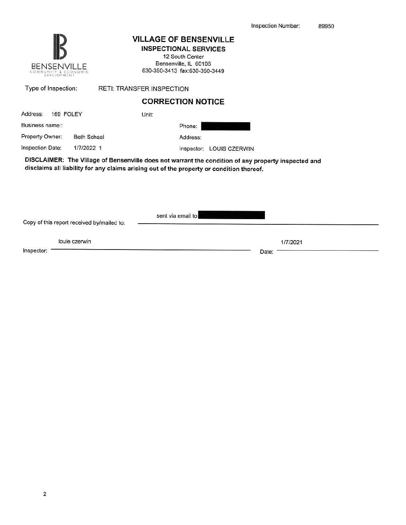1/7/2021

Date:



## **VILLAGE OF BENSENVILLE**

**INSPECTIONAL SERVICES** 12 South Center Bensenville, IL 60106 630-350-3413 fax:630-350-3449

| Type of Inspection:                   | <b>RETI: TRANSFER INSPECTION</b>                                                                                                                                                                |
|---------------------------------------|-------------------------------------------------------------------------------------------------------------------------------------------------------------------------------------------------|
|                                       | <b>CORRECTION NOTICE</b>                                                                                                                                                                        |
| 169 FOLEY<br>Address:                 | Unit:                                                                                                                                                                                           |
| Business name::                       | Phone:                                                                                                                                                                                          |
| Property Owner:<br><b>Beth Schaal</b> | Address:                                                                                                                                                                                        |
| Inspection Date:<br>1/7/2022 1        | Inspector:<br>LOUIS CZERWIN                                                                                                                                                                     |
|                                       | DISCLAIMER: The Village of Bensenville does not warrant the condition of any property inspected and<br>disclaims all liability for any claims arising out of the property or condition thereof. |
|                                       |                                                                                                                                                                                                 |
|                                       |                                                                                                                                                                                                 |
|                                       | sent via email to                                                                                                                                                                               |

Copy of this report received by/mailed to:

louie czerwin

Inspector: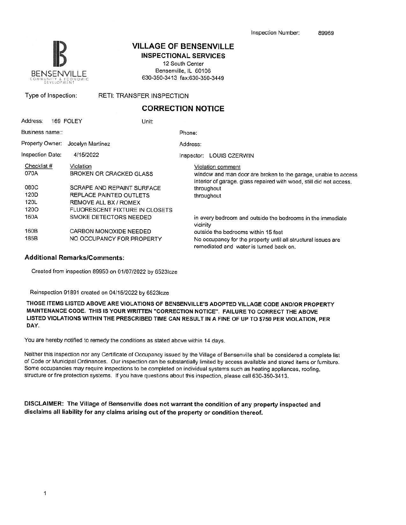

# **VILLAGE OF BENSENVILLE**

**INSPECTIONAL SERVICES** 

12 South Center Bensenville, IL 60106 630-350-3413 fax:630-350-3449

Type of Inspection: RETI: TRANSFER INSPECTION

### **CORRECTION NOTICE**

| Address:                | 169 FOLEY        | Unit:                          |            |                                                                                                                                       |
|-------------------------|------------------|--------------------------------|------------|---------------------------------------------------------------------------------------------------------------------------------------|
| Business name::         |                  |                                | Phone:     |                                                                                                                                       |
| Property Owner:         | Jocelyn Martinez |                                | Address:   |                                                                                                                                       |
| <b>Inspection Date:</b> | 4/15/2022        |                                | Inspector: | LOUIS CZERWIN                                                                                                                         |
| Checklist #             | Violation        |                                |            | Violation comment                                                                                                                     |
| 070A                    |                  | BROKEN OR CRACKED GLASS        |            | window and man door are broken to the garage, unable to access<br>interior of garage. glass repaired with wood, still did not access. |
| 080C                    |                  | SCRAPE AND REPAINT SURFACE     |            | throughout                                                                                                                            |
| 120D                    |                  | REPLACE PAINTED OUTLETS        |            | throughout                                                                                                                            |
| 120L                    |                  | REMOVE ALL BX / ROMEX          |            |                                                                                                                                       |
| 1200                    |                  | FLUORESCENT FIXTURE IN CLOSETS |            |                                                                                                                                       |
| 160A                    |                  | SMOKE DETECTORS NEEDED         | vicinity   | in every bedroom and outside the bedrooms in the immediate                                                                            |
| 160B                    |                  | CARBON MONOXIDE NEEDED         |            | outside the bedrooms within 15 feet                                                                                                   |
| 185B                    |                  | NO OCCUPANCY FOR PROPERTY      |            | No occupancy for the property until all structural issues are<br>remediated and water is turned back on.                              |

#### **Additional Remarks/Comments:**

Created from inspection 89950 on 01/07/2022 by 65231cze

Reinspection 91891 created on 04/15/2022 by 65231cze

**THOSE ITEMS LISTED ABOVE ARE VIOLATIONS OF BENSENVILLE'S ADOPTED VILLAGE CODE AND/OR PROPERTY MAINTENANCE CODE. THIS IS YOUR WRITTEN "CORRECTION NOTICE". FAILURE TO CORRECT THE ABOVE LISTED VIOLATIONS WITHIN** THE **PRESCRIBED TIME CAN RESULT IN A FINE OF UP TO \$750 PER VIOLATION, PER DAY.** 

You are hereby notified to remedy the conditions as stated above within 14 days.

Neither this inspection nor any Certificate of Occupancy issued by the Village of Bensenville shall be considered a complete list of Code or Municipal Ordinances. Our inspection can be substantially limited by access available and stored items or furniture. Some occupancies may require inspections to be completed on individual systems such as heating appliances, roofing, structure or fire protection systems. If you have questions about this inspection, please call 630-350-3413.

**DISCLAIMER: The Village of Bensenville does not warrant the condition of any property inspected and disclaims all liability for any claims arising out of the property or condition thereof.**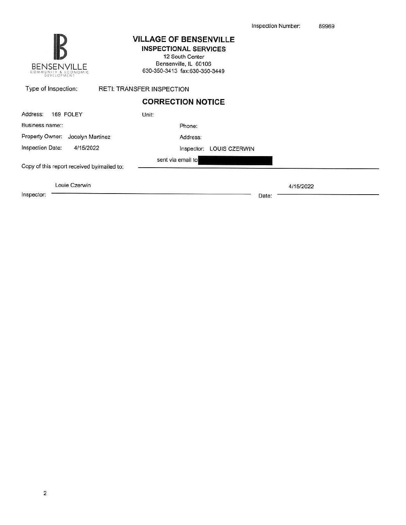| <b>BENSENVILLE</b><br>UNITY & ECONOMIC<br>Dévelopment | <b>VILLAGE OF BENSENVILLE</b><br><b>INSPECTIONAL SERVICES</b><br>12 South Center<br>Bensenville, IL 60106<br>630-350-3413 fax:630-350-3449 |
|-------------------------------------------------------|--------------------------------------------------------------------------------------------------------------------------------------------|
| Type of Inspection:                                   | <b>RETI: TRANSFER INSPECTION</b>                                                                                                           |
|                                                       | <b>CORRECTION NOTICE</b>                                                                                                                   |
| Address:<br>169 FOLEY                                 | Unit:                                                                                                                                      |
| Business name::                                       | Phone:                                                                                                                                     |
| Property Owner: Jocelyn Martinez                      | Address:                                                                                                                                   |
| Inspection Date:<br>4/15/2022                         | LOUIS CZERWIN<br>Inspector:                                                                                                                |
| Copy of this report received by/mailed to:            | sent via email to                                                                                                                          |
|                                                       |                                                                                                                                            |
| Louie Czerwin                                         | 4/15/2022                                                                                                                                  |
| Inspector:                                            | Date:                                                                                                                                      |